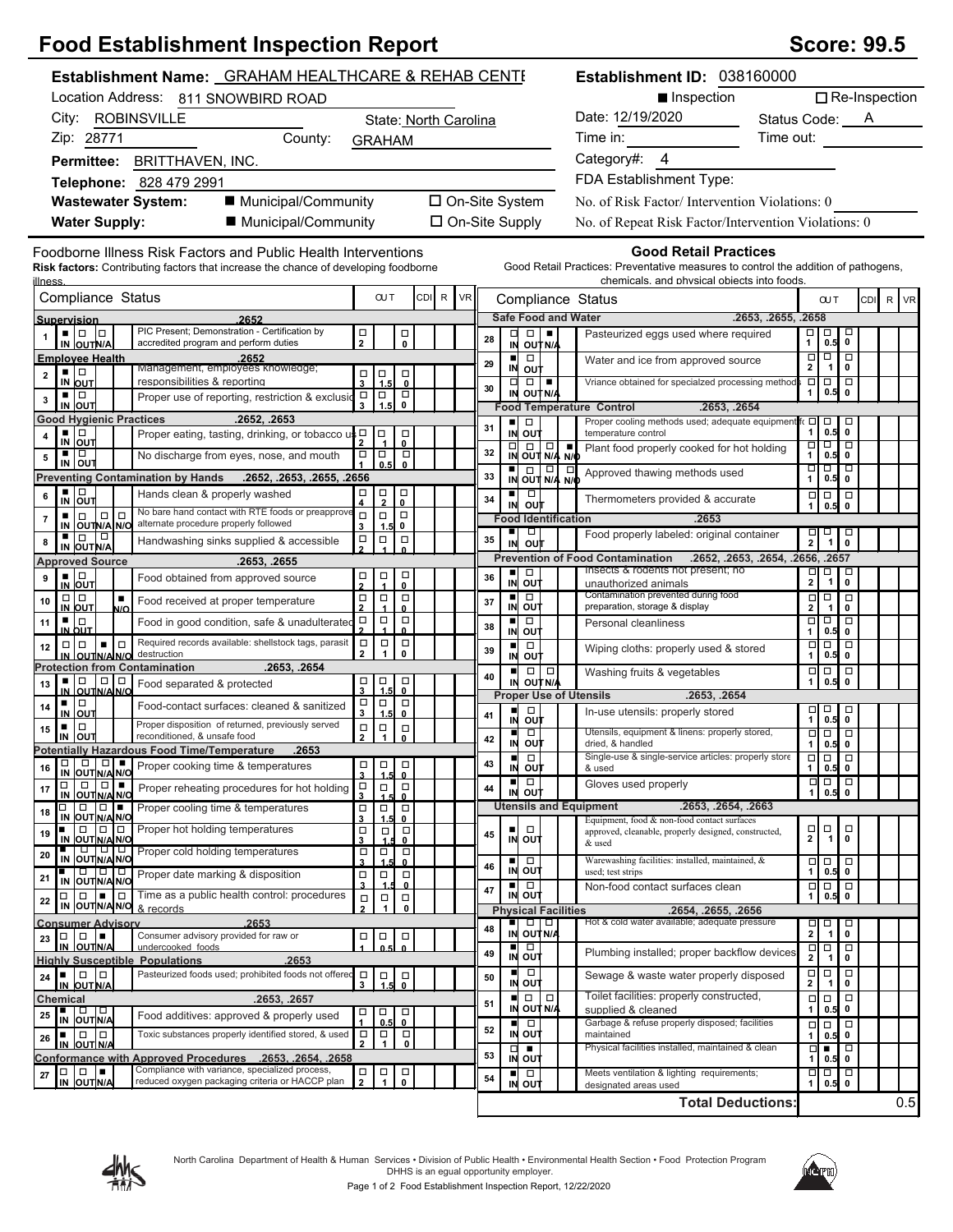## **Food Establishment Inspection Report**

| <b>Score: 99.5</b> |  |
|--------------------|--|
|--------------------|--|

| <b>Establishment Name: GRAHAM HEALTHCARE &amp; REHAB CENTE</b>                                                                                                    |                                            |                                               |                                                  |                                                                                                                                                                                                                                |                       |                                              |                                                                                                                                                                                                                                                                                                                                                                                                                      |               | Establishment ID: 038160000                                                                                                       |                          |                                                                                               |                                |          |
|-------------------------------------------------------------------------------------------------------------------------------------------------------------------|--------------------------------------------|-----------------------------------------------|--------------------------------------------------|--------------------------------------------------------------------------------------------------------------------------------------------------------------------------------------------------------------------------------|-----------------------|----------------------------------------------|----------------------------------------------------------------------------------------------------------------------------------------------------------------------------------------------------------------------------------------------------------------------------------------------------------------------------------------------------------------------------------------------------------------------|---------------|-----------------------------------------------------------------------------------------------------------------------------------|--------------------------|-----------------------------------------------------------------------------------------------|--------------------------------|----------|
| Location Address: 811 SNOWBIRD ROAD                                                                                                                               |                                            |                                               |                                                  |                                                                                                                                                                                                                                |                       | $\Box$ Re-Inspection<br>■ Inspection         |                                                                                                                                                                                                                                                                                                                                                                                                                      |               |                                                                                                                                   |                          |                                                                                               |                                |          |
| City: ROBINSVILLE                                                                                                                                                 | State: North Carolina                      |                                               |                                                  | Date: 12/19/2020                                                                                                                                                                                                               | Status Code: <u>A</u> |                                              |                                                                                                                                                                                                                                                                                                                                                                                                                      |               |                                                                                                                                   |                          |                                                                                               |                                |          |
| Zip: 28771<br>County:                                                                                                                                             | <b>GRAHAM</b>                              |                                               |                                                  | Time in: The state of the state of the state of the state of the state of the state of the state of the state of the state of the state of the state of the state of the state of the state of the state of the state of the s | Time out:             |                                              |                                                                                                                                                                                                                                                                                                                                                                                                                      |               |                                                                                                                                   |                          |                                                                                               |                                |          |
| Permittee: BRITTHAVEN, INC.                                                                                                                                       |                                            |                                               |                                                  |                                                                                                                                                                                                                                |                       |                                              |                                                                                                                                                                                                                                                                                                                                                                                                                      |               | Category#: 4                                                                                                                      |                          |                                                                                               |                                |          |
| Telephone: 828 479 2991                                                                                                                                           |                                            |                                               |                                                  |                                                                                                                                                                                                                                |                       |                                              |                                                                                                                                                                                                                                                                                                                                                                                                                      |               | FDA Establishment Type:                                                                                                           |                          |                                                                                               |                                |          |
| ■ Municipal/Community<br><b>Wastewater System:</b>                                                                                                                |                                            |                                               |                                                  | □ On-Site System                                                                                                                                                                                                               |                       |                                              |                                                                                                                                                                                                                                                                                                                                                                                                                      |               | No. of Risk Factor/ Intervention Violations: 0                                                                                    |                          |                                                                                               |                                |          |
| <b>Water Supply:</b><br>■ Municipal/Community                                                                                                                     |                                            |                                               |                                                  | □ On-Site Supply                                                                                                                                                                                                               |                       |                                              |                                                                                                                                                                                                                                                                                                                                                                                                                      |               | No. of Repeat Risk Factor/Intervention Violations: 0                                                                              |                          |                                                                                               |                                |          |
| Foodborne Illness Risk Factors and Public Health Interventions                                                                                                    |                                            |                                               |                                                  |                                                                                                                                                                                                                                |                       |                                              |                                                                                                                                                                                                                                                                                                                                                                                                                      |               | <b>Good Retail Practices</b>                                                                                                      |                          |                                                                                               |                                |          |
| Risk factors: Contributing factors that increase the chance of developing foodborne<br><u>illness</u>                                                             |                                            |                                               |                                                  |                                                                                                                                                                                                                                |                       |                                              |                                                                                                                                                                                                                                                                                                                                                                                                                      |               | Good Retail Practices: Preventative measures to control the addition of pathogens,<br>chemicals, and physical objects into foods. |                          |                                                                                               |                                |          |
| Compliance Status                                                                                                                                                 |                                            | <b>OUT</b>                                    | <b>CDI</b>                                       | $\mathsf{R}$ .                                                                                                                                                                                                                 | <b>VR</b>             |                                              |                                                                                                                                                                                                                                                                                                                                                                                                                      |               | Compliance Status                                                                                                                 |                          | <b>CUT</b>                                                                                    |                                | CDI R VR |
| 2652<br>Supervision<br>PIC Present; Demonstration - Certification by<br>• 10 10                                                                                   | Π                                          |                                               |                                                  |                                                                                                                                                                                                                                |                       |                                              | $\begin{array}{c c c c c c} \hline \textbf{u} & \textbf{u} & \textbf{u} \end{array}$                                                                                                                                                                                                                                                                                                                                 |               | <b>Safe Food and Water</b><br>Pasteurized eggs used where required                                                                | .2653, .2655, .2658<br>о | $\Box$                                                                                        |                                |          |
| IN OUTN/A<br>accredited program and perform duties                                                                                                                | $\overline{2}$                             |                                               | □<br>0                                           |                                                                                                                                                                                                                                | 28                    |                                              | IN OUTN/A                                                                                                                                                                                                                                                                                                                                                                                                            |               |                                                                                                                                   | $\mathbf{1}$<br>$\Box$   | 0.5<br>$\boxed{\blacksquare}$                                                                 | $\pmb{0}$<br>$\overline{\Box}$ |          |
| <b>Employee Health</b><br>.2652<br>Management, employees knowledge;<br>▪ □<br>$\mathbf 2$                                                                         | $\begin{array}{c}\n\Box \\ 3\n\end{array}$ | $\mathsf{I}_{\frac{1}{1.5}}$                  | $\overline{\mathbf{o}}$                          |                                                                                                                                                                                                                                | 29                    | $\blacksquare$                               | $\Box$<br>IN OUT                                                                                                                                                                                                                                                                                                                                                                                                     |               | Water and ice from approved source                                                                                                | $\mathbf{2}$             |                                                                                               | $1$   0                        |          |
| IN OUT<br>responsibilities & reporting<br>o<br>ш<br>Proper use of reporting, restriction & exclusio                                                               |                                            |                                               |                                                  |                                                                                                                                                                                                                                | 30                    |                                              | $\begin{array}{c c c c c c} \hline \rule{0pt}{16pt} \rule{0pt}{2pt} \rule{0pt}{2pt} \rule{0pt}{2pt} \rule{0pt}{2pt} \rule{0pt}{2pt} \rule{0pt}{2pt} \rule{0pt}{2pt} \rule{0pt}{2pt} \rule{0pt}{2pt} \rule{0pt}{2pt} \rule{0pt}{2pt} \rule{0pt}{2pt} \rule{0pt}{2pt} \rule{0pt}{2pt} \rule{0pt}{2pt} \rule{0pt}{2pt} \rule{0pt}{2pt} \rule{0pt}{2pt} \rule{0pt}{2pt} \rule{0pt}{2pt} \rule{0pt}{2pt} \$<br>IN OUT N/A |               | Vriance obtained for specialzed processing method                                                                                 | 1                        | 00 O<br>0.5                                                                                   | 0                              |          |
| 3<br>IN OUT                                                                                                                                                       | $\overline{a}$                             | $\vert_{1.5}^{\square}$                       | $\begin{matrix} \Box \\ \mathbf{0} \end{matrix}$ |                                                                                                                                                                                                                                |                       |                                              |                                                                                                                                                                                                                                                                                                                                                                                                                      |               | <b>Food Temperature Control</b><br>.2653, .2654                                                                                   |                          |                                                                                               |                                |          |
| <b>Good Hygienic Practices</b><br>.2652, .2653<br>$\frac{1}{N}$ out<br>Proper eating, tasting, drinking, or tobacco $u \begin{bmatrix} 0 \\ 2 \end{bmatrix}$<br>4 |                                            |                                               | $\overline{\phantom{0}}$                         |                                                                                                                                                                                                                                | 31                    |                                              | ■□□<br>IN OUT                                                                                                                                                                                                                                                                                                                                                                                                        |               | Proper cooling methods used; adequate equipment<br>temperature control                                                            | $\mathbf{1}$             | f∈ <b>□ □</b> □<br>$0.5$ 0                                                                    | $\Box$                         |          |
| ▪ ▏□<br>No discharge from eyes, nose, and mouth<br>5                                                                                                              | $\Box$                                     | $\boxed{\Box}$                                | $\Box$                                           |                                                                                                                                                                                                                                | 32                    |                                              | $\begin{array}{ c c c }\n\hline\n\Box & \Box & \Box & \Box \\ \hline\n\vdots & \ddots & \ddots & \ddots \\ \hline\n\vdots & \ddots & \ddots & \ddots\n\end{array}$                                                                                                                                                                                                                                                   |               | Plant food properly cooked for hot holding                                                                                        | □<br>$\mathbf{1}$        | ठा व<br>0.5                                                                                   | $\mathbf 0$                    |          |
| IN OUT<br>Preventing Contamination by Hands .2652, .2653, .2655, .2656                                                                                            |                                            | 0.5                                           | $\mathbf{0}$                                     |                                                                                                                                                                                                                                | 33                    |                                              | $\frac{1}{N}$ out $\frac{1}{N/4}$ $\frac{1}{N/6}$                                                                                                                                                                                                                                                                                                                                                                    |               | Approved thawing methods used                                                                                                     | $\mathbf{1}$             | णणण<br>$0.5$ 0                                                                                |                                |          |
| $\frac{1}{N}$ $\frac{1}{\frac{1}{N}}$<br>Hands clean & properly washed<br>6                                                                                       | □<br>4                                     | $\Box$<br>$\overline{2}$                      | $\mathbf{0}$                                     |                                                                                                                                                                                                                                | 34                    |                                              | ▪▏□<br>IN OUT                                                                                                                                                                                                                                                                                                                                                                                                        |               | Thermometers provided & accurate                                                                                                  | 1                        | $\Box$<br>0.5                                                                                 | $\Box$<br>$\mathbf 0$          |          |
| No bare hand contact with RTE foods or preapprove<br>$\Box$<br>$\Box$<br>$\Box$<br>٠<br>$\bf 7$<br>alternate procedure properly followed<br>IN OUTNA NO           | $\Box$<br>3                                | $\Box$<br>1.5                                 | $\Box$<br>0                                      |                                                                                                                                                                                                                                |                       | <b>Food Identification</b>                   |                                                                                                                                                                                                                                                                                                                                                                                                                      |               | .2653                                                                                                                             |                          |                                                                                               |                                |          |
| $\Box$<br>▪ │□<br>Handwashing sinks supplied & accessible<br>8<br>IN OUT N/A                                                                                      | ņ                                          | $\Box$                                        | $\Box$                                           |                                                                                                                                                                                                                                | 35                    | ٠                                            | $\Box$<br>IN OUT                                                                                                                                                                                                                                                                                                                                                                                                     |               | Food properly labeled: original container                                                                                         |                          | $\begin{array}{c} \n\Box \quad \Box \quad \square \\ \n2 & 1 \n\end{array}$                   | 굥                              |          |
| <b>Approved Source</b><br>.2653, .2655                                                                                                                            |                                            |                                               |                                                  |                                                                                                                                                                                                                                |                       |                                              |                                                                                                                                                                                                                                                                                                                                                                                                                      |               | .2652, .2653, .2654, .2656, .2657<br><b>Prevention of Food Contamination</b>                                                      |                          |                                                                                               |                                |          |
| $\frac{1}{N}$ out<br>9<br>Food obtained from approved source                                                                                                      | 口<br>2                                     | $\begin{array}{c}\n\Box \\ \Box\n\end{array}$ | $\Box$<br>$\mathbf{0}$                           |                                                                                                                                                                                                                                | 36                    | ш                                            | $\Box$<br>IN OUT                                                                                                                                                                                                                                                                                                                                                                                                     |               | Insects & rodents not present; no<br>unauthorized animals                                                                         | $\Box$<br>$\mathbf{2}$   | □<br>$\overline{1}$                                                                           | $\Box$<br>$\mathbf 0$          |          |
| $\Box   \Box$<br>$\blacksquare$<br>10<br>Food received at proper temperature<br>IN OUT<br>N/O                                                                     | $\Box$                                     | $\Box$                                        | $\Box$<br>$\mathbf{0}$                           |                                                                                                                                                                                                                                | 37                    | ш                                            | $\Box$<br>IN OUT                                                                                                                                                                                                                                                                                                                                                                                                     |               | Contamination prevented during food<br>preparation, storage & display                                                             | $\Box$<br>$\mathbf 2$    | $\Box$<br>$\mathbf{1}$                                                                        | $\Box$<br>0                    |          |
| ▪⊥□<br>Food in good condition, safe & unadulterated<br>11<br>IN OUT                                                                                               | $\Box$                                     | $\Box$                                        | $\Box$<br>$\Omega$                               |                                                                                                                                                                                                                                | 38                    |                                              | $\blacksquare$<br>IN OUT                                                                                                                                                                                                                                                                                                                                                                                             |               | Personal cleanliness                                                                                                              | $\mathbf{1}$             | व व व<br>0.5                                                                                  | $\mathbf 0$                    |          |
| Required records available: shellstock tags, parasit<br>$\Box   \Box$<br>œ.<br>$\Box$<br>12<br>destruction<br>IN OUTNANO                                          | $\Box$<br>$\mathbf{2}$                     | $\Box$<br>1                                   | $\Box$<br>$\mathbf 0$                            |                                                                                                                                                                                                                                | 39                    | ■                                            | $\Box$<br>IN OUT                                                                                                                                                                                                                                                                                                                                                                                                     |               | Wiping cloths: properly used & stored                                                                                             | $\Box$<br>$\mathbf{1}$   | $\Box$<br>$0.5$ 0                                                                             | $\Box$                         |          |
| <b>Protection from Contamination</b><br>.2653, .2654                                                                                                              |                                            |                                               |                                                  |                                                                                                                                                                                                                                | 40                    | $\blacksquare$                               |                                                                                                                                                                                                                                                                                                                                                                                                                      | $\Box   \Box$ | Washing fruits & vegetables                                                                                                       | $\Box$                   | $\Box$                                                                                        | $\Box$                         |          |
| O<br>$\Box$<br>. .<br>Food separated & protected<br>13<br><b>OUTIN/A N/C</b>                                                                                      | $\frac{1}{3}$ $\frac{1}{1.5}$              | 1.5                                           | $\overline{\phantom{0}}_{\phantom{0}}^{\square}$ |                                                                                                                                                                                                                                |                       |                                              | IN OUT N/A                                                                                                                                                                                                                                                                                                                                                                                                           |               | <b>Proper Use of Utensils</b><br>.2653, .2654                                                                                     | $\mathbf{1}$             | 0.5                                                                                           | 0                              |          |
| $\blacksquare$<br>Food-contact surfaces: cleaned & sanitized<br>14<br>IN OUT                                                                                      | $\frac{\Box}{3}$                           | $\Box$<br>1.5                                 | $\rm\frac{\square}{0}$                           |                                                                                                                                                                                                                                | 41                    | п                                            | $\Box$                                                                                                                                                                                                                                                                                                                                                                                                               |               | In-use utensils: properly stored                                                                                                  |                          | $\begin{array}{c} \n\Box \\ 1 \end{array}$ 0.5<br>$0.5$ $0$                                   | $\Box$                         |          |
| Proper disposition of returned, previously served<br>$\Box$<br>٠<br>15<br>Ιουτ<br>reconditioned, & unsafe food<br>IN                                              | $\Box$<br>$\mathbf{2}$                     | $\Box$<br>$\mathbf{1}$                        | $_\mathrm{o}^\Box$                               |                                                                                                                                                                                                                                |                       | п                                            | IN OUT<br>$\Box$                                                                                                                                                                                                                                                                                                                                                                                                     |               | Utensils, equipment & linens: properly stored,                                                                                    | $\Box$                   | $\Box$                                                                                        |                                |          |
| Potentially Hazardous Food Time/Temperature<br>.2653                                                                                                              |                                            |                                               |                                                  |                                                                                                                                                                                                                                | 42                    | п                                            | IN OUT<br>$\Box$                                                                                                                                                                                                                                                                                                                                                                                                     |               | dried. & handled<br>Single-use & single-service articles: properly store                                                          | $\mathbf{1}$             | $0.5$ 0<br><b>ooto</b>                                                                        |                                |          |
| <b>DO DO Proper cooking time &amp; temperatures</b><br>16<br>IN OUT NA NO                                                                                         | $\overline{\mathbf{3}}$                    | ololol<br>1.5                                 | $\mathbf{0}$                                     |                                                                                                                                                                                                                                | 43                    |                                              | <b>IN OUT</b>                                                                                                                                                                                                                                                                                                                                                                                                        |               | & used                                                                                                                            | 1                        | $0.5$ 0                                                                                       |                                |          |
| $\Box   \Box   =$<br>$\Box$<br>Proper reheating procedures for hot holding<br>17<br>IN OUT N/A N/C                                                                | $\Box$                                     | $\Box$                                        | $\overline{\mathfrak{o}}$                        |                                                                                                                                                                                                                                | 44                    |                                              | $\blacksquare$<br>IN OUT                                                                                                                                                                                                                                                                                                                                                                                             |               | Gloves used properly                                                                                                              | $\Box$<br>$\mathbf{1}$   | $\Box$<br>$0.5$ 0                                                                             |                                |          |
| $\Box$ $\Box$<br>α<br>Proper cooling time & temperatures<br>18<br>IN OUT N/A N/O                                                                                  | $\frac{\Box}{3}$                           | $\Box$<br>1.5                                 | $\Box$<br>0                                      |                                                                                                                                                                                                                                |                       |                                              |                                                                                                                                                                                                                                                                                                                                                                                                                      |               | <b>Utensils and Equipment</b><br>.2653, .2654, .2663<br>Equipment, food & non-food contact surfaces                               |                          |                                                                                               |                                |          |
| Proper hot holding temperatures<br>$\Box$<br>0<br>l o<br>19<br>IN OUT N/A N/O                                                                                     | $\Box$<br>$\mathbf{3}$                     | $\Box$                                        | $\Box$<br>0                                      |                                                                                                                                                                                                                                | 45                    |                                              | $\Box$<br>IN OUT                                                                                                                                                                                                                                                                                                                                                                                                     |               | approved, cleanable, properly designed, constructed,                                                                              | $\frac{\Box}{2}$         | $\Box$<br>$\mathbf{1}$                                                                        | α<br>$\mathbf 0$               |          |
| IN OUT N/A N/O<br>IN OUT N/A N/O<br>20                                                                                                                            | $\frac{\Box}{3}$                           | $\Box$                                        | $\bullet$ $\Box$                                 |                                                                                                                                                                                                                                |                       |                                              | ■□□                                                                                                                                                                                                                                                                                                                                                                                                                  |               | & used<br>Warewashing facilities: installed, maintained, &                                                                        |                          | $\Box \Box$                                                                                   | $\Box$                         |          |
| IN OUTNANO<br>Proper date marking & disposition<br>21                                                                                                             | $\Box$<br>$\overline{\mathbf{3}}$          | $\Box$                                        | $\Box$<br>$\mathbf{0}$                           |                                                                                                                                                                                                                                | 46                    |                                              | IN OUT<br>$\overline{a}$                                                                                                                                                                                                                                                                                                                                                                                             |               | used; test strips                                                                                                                 | 1                        | $0.5$ 0<br>$\begin{array}{c c c c c} \hline \textbf{a} & \textbf{b} & \textbf{c} \end{array}$ |                                |          |
| Time as a public health control: procedures<br>0<br>I۳.<br>$\Box$<br>$\Box$<br>22<br>IN OUT N/A N/O & records                                                     | $\Box$                                     | $\Box$                                        | $\Box$                                           |                                                                                                                                                                                                                                | 47                    |                                              | IN OUT                                                                                                                                                                                                                                                                                                                                                                                                               |               | Non-food contact surfaces clean                                                                                                   | $\mathbf{1}$             | 0.5                                                                                           | 0                              |          |
| .2653<br><b>Consumer Advisory</b>                                                                                                                                 | $\overline{2}$                             | $\mathbf{1}$                                  | 0                                                |                                                                                                                                                                                                                                |                       | <b>Physical Facilities</b><br>$\blacksquare$ | $\Box$                                                                                                                                                                                                                                                                                                                                                                                                               | $\Box$        | .2654, .2655, .2656<br>Hot & cold water available; adequate pressure                                                              |                          | o                                                                                             | $\Box$                         |          |
| Consumer advisory provided for raw or<br>$\Box$<br>$_{23}$   $\Box$<br>IN OUTNA                                                                                   | о                                          | $\Box$                                        | $\Box$                                           |                                                                                                                                                                                                                                | 48                    |                                              | IN OUT N/A                                                                                                                                                                                                                                                                                                                                                                                                           |               |                                                                                                                                   | $\frac{\square}{2}$      | $\overline{1}$                                                                                | 0                              |          |
| undercooked foods<br>.2653<br><b>Highly Susceptible Populations</b>                                                                                               |                                            |                                               | $\Omega$                                         |                                                                                                                                                                                                                                | 49                    |                                              | ם ו∎<br>IN OUT                                                                                                                                                                                                                                                                                                                                                                                                       |               | Plumbing installed; proper backflow devices                                                                                       | $\frac{1}{2}$            | $\Box$<br>$\overline{1}$                                                                      | ō<br>$\pmb{0}$                 |          |
| $\Box$<br>Pasteurized foods used; prohibited foods not offered<br>Iн I<br>24<br>IN OUT N/A                                                                        | $\Box$<br>3                                | $\frac{\Box}{1}$                              | $_{\rm o}^{\Box}$                                |                                                                                                                                                                                                                                | 50                    |                                              | ■□□<br>IN OUT                                                                                                                                                                                                                                                                                                                                                                                                        |               | Sewage & waste water properly disposed                                                                                            | $\frac{\Box}{2}$         | $\Box$<br>$\mathbf{1}$                                                                        | $\Box$<br>$\pmb{0}$            |          |
| Chemical<br>.2653, .2657                                                                                                                                          |                                            |                                               |                                                  |                                                                                                                                                                                                                                | 51                    | ш                                            | $\Box$<br>IN OUT N/A                                                                                                                                                                                                                                                                                                                                                                                                 | $\Box$        | Toilet facilities: properly constructed,<br>supplied & cleaned                                                                    | $\Box$<br>$\mathbf{1}$   | $\Box$<br>0.5                                                                                 | $\Box$<br>0                    |          |
| IN OUTN/A<br>Food additives: approved & properly used<br>25                                                                                                       | $\Box$                                     | $\Box$<br>0.5                                 | □<br>0                                           |                                                                                                                                                                                                                                | 52                    |                                              | ■□                                                                                                                                                                                                                                                                                                                                                                                                                   |               | Garbage & refuse properly disposed; facilities                                                                                    | $\Box$                   | $\Box$                                                                                        | $\Box$                         |          |
| Toxic substances properly identified stored, & used<br>$\blacksquare$ $\blacksquare$ $\blacksquare$<br>26<br>OUT N/A<br>IN                                        | $\Box$<br>$\overline{2}$                   | $\frac{\Box}{1}$                              | $\Box$<br>$\pmb{0}$                              |                                                                                                                                                                                                                                |                       |                                              | IN OUT<br>$\Box$                                                                                                                                                                                                                                                                                                                                                                                                     |               | maintained<br>Physical facilities installed, maintained & clean                                                                   | 1<br>Д                   | 0.5<br>٠                                                                                      | 0<br>p                         |          |
| Conformance with Approved Procedures .2653, .2654. .2658<br>Compliance with variance, specialized process,<br>10   0   <b>1</b>                                   |                                            |                                               |                                                  |                                                                                                                                                                                                                                | 53                    |                                              | IN OUT                                                                                                                                                                                                                                                                                                                                                                                                               |               |                                                                                                                                   | 1                        | 0.5<br>$\Box$                                                                                 | $\mathbf 0$<br>$\Box$          |          |
| 27<br>reduced oxygen packaging criteria or HACCP plan<br>IN OUTN/A                                                                                                | $\frac{\Box}{2}$                           | $\begin{array}{c}\n\Box \\ \Box\n\end{array}$ | $_{\rm o}^{\Box}$                                |                                                                                                                                                                                                                                | 54                    | ш                                            | $\Box$<br><b>IN OUT</b>                                                                                                                                                                                                                                                                                                                                                                                              |               | Meets ventilation & lighting requirements;<br>designated areas used                                                               | $\Box$<br>$\mathbf{1}$   | 0.5                                                                                           | 0                              |          |
|                                                                                                                                                                   |                                            |                                               |                                                  |                                                                                                                                                                                                                                |                       |                                              |                                                                                                                                                                                                                                                                                                                                                                                                                      |               | <b>Total Deductions:</b>                                                                                                          |                          |                                                                                               |                                | 0.5      |